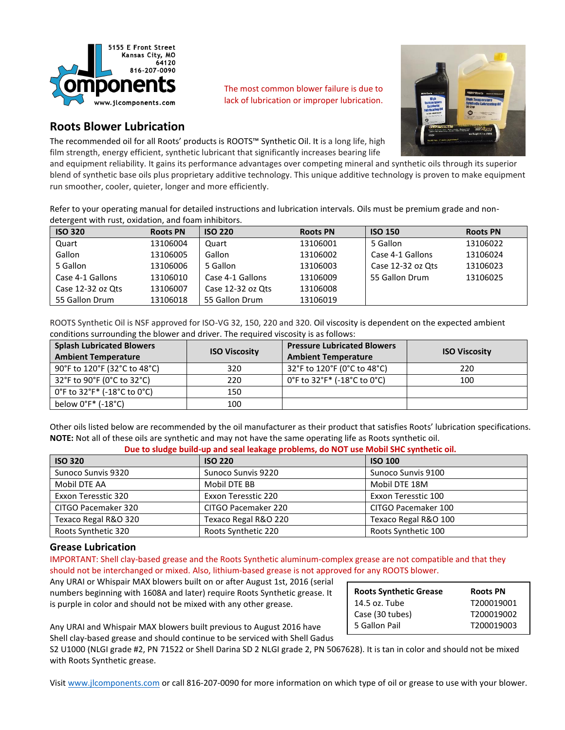

The most common blower failure is due to lack of lubrication or improper lubrication.



# **Roots Blower Lubrication**

The recommended oil for all Roots' products is ROOTS™ Synthetic Oil. It is a long life, high film strength, energy efficient, synthetic lubricant that significantly increases bearing life

and equipment reliability. It gains its performance advantages over competing mineral and synthetic oils through its superior blend of synthetic base oils plus proprietary additive technology. This unique additive technology is proven to make equipment run smoother, cooler, quieter, longer and more efficiently.

Refer to your operating manual for detailed instructions and lubrication intervals. Oils must be premium grade and nondetergent with rust, oxidation, and foam inhibitors.

| <b>ISO 320</b>    | <b>Roots PN</b> | <b>ISO 220</b>    | <b>Roots PN</b> | <b>ISO 150</b>    | <b>Roots PN</b> |
|-------------------|-----------------|-------------------|-----------------|-------------------|-----------------|
| Quart             | 13106004        | Quart             | 13106001        | 5 Gallon          | 13106022        |
| Gallon            | 13106005        | Gallon            | 13106002        | Case 4-1 Gallons  | 13106024        |
| 5 Gallon          | 13106006        | 5 Gallon          | 13106003        | Case 12-32 oz Ots | 13106023        |
| Case 4-1 Gallons  | 13106010        | Case 4-1 Gallons  | 13106009        | 55 Gallon Drum    | 13106025        |
| Case 12-32 oz Ots | 13106007        | Case 12-32 oz Ots | 13106008        |                   |                 |
| 55 Gallon Drum    | 13106018        | 55 Gallon Drum    | 13106019        |                   |                 |

ROOTS Synthetic Oil is NSF approved for ISO-VG 32, 150, 220 and 320. Oil viscosity is dependent on the expected ambient conditions surrounding the blower and driver. The required viscosity is as follows:

| <b>Splash Lubricated Blowers</b><br><b>Ambient Temperature</b>                 | <b>ISO Viscosity</b> | <b>Pressure Lubricated Blowers</b><br><b>Ambient Temperature</b> | <b>ISO Viscosity</b> |
|--------------------------------------------------------------------------------|----------------------|------------------------------------------------------------------|----------------------|
| 90°F to 120°F (32°C to 48°C)                                                   | 320                  | 32°F to 120°F (0°C to 48°C)                                      | 220                  |
| 32°F to 90°F (0°C to 32°C)                                                     | 220                  | 0°F to 32°F* (-18°C to 0°C)                                      | 100                  |
| $0^{\circ}$ F to 32 $^{\circ}$ F $^{\ast}$ (-18 $^{\circ}$ C to $0^{\circ}$ C) | 150                  |                                                                  |                      |
| below $0^\circ F^*$ (-18 $^\circ C$ )                                          | 100                  |                                                                  |                      |

Other oils listed below are recommended by the oil manufacturer as their product that satisfies Roots' lubrication specifications. **NOTE:** Not all of these oils are synthetic and may not have the same operating life as Roots synthetic oil.

**Due to sludge build-up and seal leakage problems, do NOT use Mobil SHC synthetic oil.**

| <b>ISO 320</b>       | <b>ISO 220</b>       | <b>ISO 100</b>       |  |
|----------------------|----------------------|----------------------|--|
| Sunoco Sunvis 9320   | Sunoco Sunvis 9220   | Sunoco Sunvis 9100   |  |
| Mobil DTE AA         | Mobil DTE BB         | Mobil DTE 18M        |  |
| Exxon Teresstic 320  | Exxon Teresstic 220  | Exxon Teresstic 100  |  |
| CITGO Pacemaker 320  | CITGO Pacemaker 220  | CITGO Pacemaker 100  |  |
| Texaco Regal R&O 320 | Texaco Regal R&O 220 | Texaco Regal R&O 100 |  |
| Roots Synthetic 320  | Roots Synthetic 220  | Roots Synthetic 100  |  |

## **Grease Lubrication**

IMPORTANT: Shell clay-based grease and the Roots Synthetic aluminum-complex grease are not compatible and that they should not be interchanged or mixed. Also, lithium-based grease is not approved for any ROOTS blower.

Any URAI or Whispair MAX blowers built on or after August 1st, 2016 (serial numbers beginning with 1608A and later) require Roots Synthetic grease. It is purple in color and should not be mixed with any other grease.

| <b>Roots Synthetic Grease</b> | <b>Roots PN</b> |
|-------------------------------|-----------------|
| 14.5 oz. Tube                 | T200019001      |
| Case (30 tubes)               | T200019002      |
| 5 Gallon Pail                 | T200019003      |

Any URAI and Whispair MAX blowers built previous to August 2016 have Shell clay-based grease and should continue to be serviced with Shell Gadus

S2 U1000 (NLGI grade #2, PN 71522 or Shell Darina SD 2 NLGI grade 2, PN 5067628). It is tan in color and should not be mixed with Roots Synthetic grease.

Visit [www.jlcomponents.com](http://www.jlcomponents.com/) or call 816-207-0090 for more information on which type of oil or grease to use with your blower.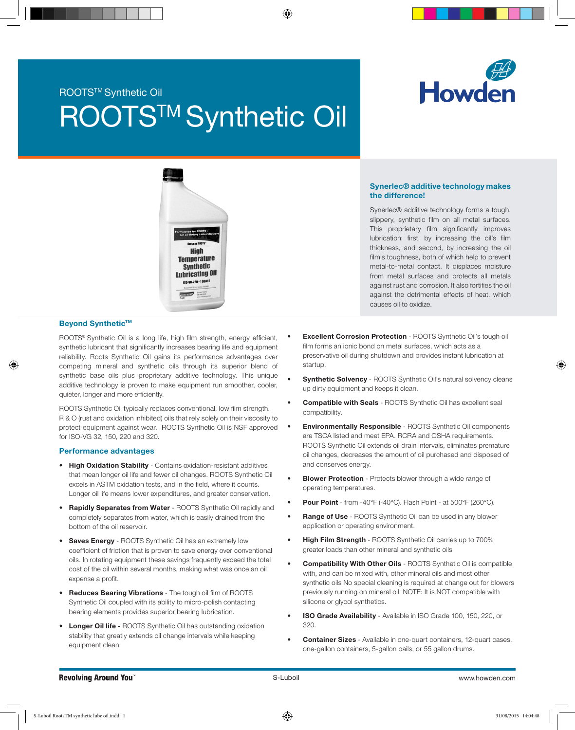# ROOTS<sup>™</sup> Synthetic Oil

# **ROOTS™ Synthetic Oil**





#### Beyond Synthetic™

ROOTS<sup>®</sup> Synthetic Oil is a long life, high film strength, energy efficient, synthetic lubricant that significantly increases bearing life and equipment reliability. Roots Synthetic Oil gains its performance advantages over competing mineral and synthetic oils through its superior blend of synthetic base oils plus proprietary additive technology. This unique additive technology is proven to make equipment run smoother, cooler, quieter, longer and more efficiently.

ROOTS Synthetic Oil typically replaces conventional, low film strength. R & O (rust and oxidation inhibited) oils that rely solely on their viscosity to protect equipment against wear. ROOTS Synthetic Oil is NSF approved for ISO-VG 32, 150, 220 and 320.

#### Performance advantages

- High Oxidation Stability Contains oxidation-resistant additives that mean longer oil life and fewer oil changes. ROOTS Synthetic Oil excels in ASTM oxidation tests, and in the field, where it counts. Longer oil life means lower expenditures, and greater conservation.
- Rapidly Separates from Water ROOTS Synthetic Oil rapidly and completely separates from water, which is easily drained from the bottom of the oil reservoir.
- Saves Energy ROOTS Synthetic Oil has an extremely low coefficient of friction that is proven to save energy over conventional oils. In rotating equipment these savings frequently exceed the total cost of the oil within several months, making what was once an oil expense a profit.
- Reduces Bearing Vibrations The tough oil film of ROOTS Synthetic Oil coupled with its ability to micro-polish contacting bearing elements provides superior bearing lubrication.
- Longer Oil life ROOTS Synthetic Oil has outstanding oxidation stability that greatly extends oil change intervals while keeping equipment clean.

#### Synerlec® additive technology makes the difference!

Synerlec® additive technology forms a tough, slippery, synthetic film on all metal surfaces. This proprietary film significantly improves lubrication: first, by increasing the oil's film thickness, and second, by increasing the oil film's toughness, both of which help to prevent metal-to-metal contact. It displaces moisture from metal surfaces and protects all metals against rust and corrosion. It also fortifies the oil against the detrimental effects of heat, which causes oil to oxidize.

- **Excellent Corrosion Protection** ROOTS Synthetic Oil's tough oil film forms an ionic bond on metal surfaces, which acts as a preservative oil during shutdown and provides instant lubrication at startup.
- **Synthetic Solvency** ROOTS Synthetic Oil's natural solvency cleans up dirty equipment and keeps it clean.
- Compatible with Seals ROOTS Synthetic Oil has excellent seal compatibility.
- **Environmentally Responsible** ROOTS Synthetic Oil components are TSCA listed and meet EPA. RCRA and OSHA requirements. ROOTS Synthetic Oil extends oil drain intervals, eliminates premature oil changes, decreases the amount of oil purchased and disposed of and conserves energy.
- **Blower Protection** Protects blower through a wide range of operating temperatures.
- Pour Point from -40°F (-40°C). Flash Point at 500°F (260°C).
- Range of Use ROOTS Synthetic Oil can be used in any blower application or operating environment.
- High Film Strength ROOTS Synthetic Oil carries up to 700% greater loads than other mineral and synthetic oils
- **Compatibility With Other Oils** ROOTS Synthetic Oil is compatible with, and can be mixed with, other mineral oils and most other synthetic oils No special cleaning is required at change out for blowers previously running on mineral oil. NOTE: It is NOT compatible with silicone or glycol synthetics.
- **ISO Grade Availability** Available in ISO Grade 100, 150, 220, or 320.
- **Container Sizes** Available in one-quart containers, 12-quart cases, one-gallon containers, 5-gallon pails, or 55 gallon drums.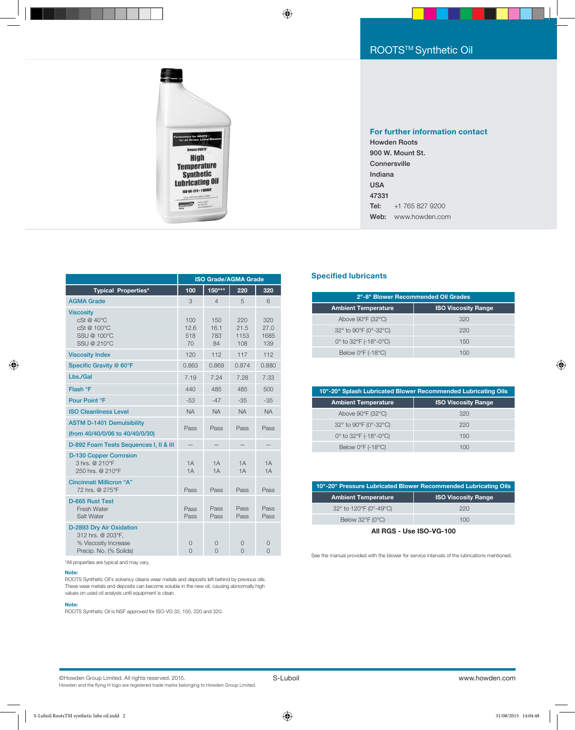

#### For further information contact

Howden Roots 900 W. Mount St. Connersville Indiana USA 47331 Tel: +1 765 827 9200 Web: www.howden.com

|                                                                                                 | <b>ISO Grade/AGMA Grade</b> |                          |                            |                            |
|-------------------------------------------------------------------------------------------------|-----------------------------|--------------------------|----------------------------|----------------------------|
| <b>Typical Properties*</b>                                                                      | 100                         | 150***                   | 220                        | 320                        |
| <b>AGMA Grade</b>                                                                               | 3                           | $\overline{4}$           | 5                          | 6                          |
| <b>Viscosity</b><br>cSt@40°C<br>cSt @ 100°C<br>SSU @ 100°C<br>SSU @ 210°C                       | 100<br>12.6<br>518<br>70    | 150<br>16.1<br>783<br>84 | 220<br>21.5<br>1153<br>108 | 320<br>27.0<br>1685<br>139 |
| <b>Viscosity Index</b>                                                                          | 120                         | 112                      | 117                        | 112                        |
| Specific Gravity @ 60°F                                                                         | 0.863                       | 0.869                    | 0.874                      | 0.880                      |
| Lbs./Gal                                                                                        | 7.19                        | 7.24                     | 7.28                       | 7.33                       |
| Flash °F                                                                                        | 440                         | 485                      | 485                        | 500                        |
| Pour Point °F                                                                                   | $-53$                       | $-47$                    | $-35$                      | $-35$                      |
| <b>ISO Cleanliness Level</b>                                                                    | <b>NA</b>                   | <b>NA</b>                | <b>NA</b>                  | <b>NA</b>                  |
| <b>ASTM D-1401 Demulsibility</b><br>(from 40/40/0/06 to 40/40/0/30)                             | Pass                        | Pass                     | Pass                       | Pass                       |
| D-892 Foam Tests Sequences I, II & III                                                          |                             |                          |                            |                            |
| <b>D-130 Copper Corrosion</b><br>3 hrs. @ 210°F<br>250 hrs. @ 210°F                             | 1A<br>1A                    | 1A<br>1A                 | 1A<br>1A                   | 1A<br>1A                   |
| <b>Cincinnati Millicron "A"</b><br>72 hrs. @ 275°F                                              | Pass                        | Pass                     | Pass                       | Pass                       |
| D-665 Rust Test<br>Fresh Water<br>Salt Water                                                    | Pass<br>Pass                | Pass<br>Pass             | Pass<br>Pass               | Pass<br>Pass               |
| D-2893 Dry Air Oxidation<br>312 hrs. @ 203°F,<br>% Viscosity Increase<br>Precip. No. (% Solids) | 0<br>$\Omega$               | 0<br>$\Omega$            | $\Omega$<br>$\Omega$       | 0<br>$\Omega$              |

#### **Specified lubricants**

| 2"-8" Blower Recommended Oil Grades                      |     |  |  |
|----------------------------------------------------------|-----|--|--|
| <b>ISO Viscosity Range</b><br><b>Ambient Temperature</b> |     |  |  |
| Above 90°F (32°C)                                        | 320 |  |  |
| 32° to 90°F (0°-32°C)                                    | 220 |  |  |
| 0° to 32°F (-18°-0°C)                                    | 150 |  |  |
| Below $0^{\circ}$ F (-18 $^{\circ}$ C)                   | 100 |  |  |

| 10"-20" Splash Lubricated Blower Recommended Lubricating Oils |                            |  |  |
|---------------------------------------------------------------|----------------------------|--|--|
| <b>Ambient Temperature</b>                                    | <b>ISO Viscosity Range</b> |  |  |
| Above 90°F (32°C)                                             | 320                        |  |  |
| 32° to 90°F (0°-32°C)                                         | 220                        |  |  |
| 0° to 32°F (-18°-0°C)                                         | 150                        |  |  |
| Below $0^{\circ}F$ (-18 $^{\circ}C$ )                         | 100                        |  |  |

| 10"-20" Pressure Lubricated Blower Recommended Lubricating Oils |                            |  |  |
|-----------------------------------------------------------------|----------------------------|--|--|
| <b>Ambient Temperature</b>                                      | <b>ISO Viscosity Range</b> |  |  |
| 32° to 120°F (0°-49°C)                                          | 220                        |  |  |
| Below 32°F (0°C)                                                | 100                        |  |  |

All RGS - Use ISO-VG-100

See the manual provided with the blower for service intervals of the lubrications mentioned.

\*All properties are typical and may vary.

#### Note:

ROOTS Synthetic Oil's solvency cleans wear metals and deposits left behind by previous oils. These wear metals and deposits can become soluble in the new oil, causing abnormally high values on used oil analysis until equipment is clean.

#### Note:

ROOTS Synthetic Oil is NSF approved for ISO-VG 32, 150, 220 and 320.